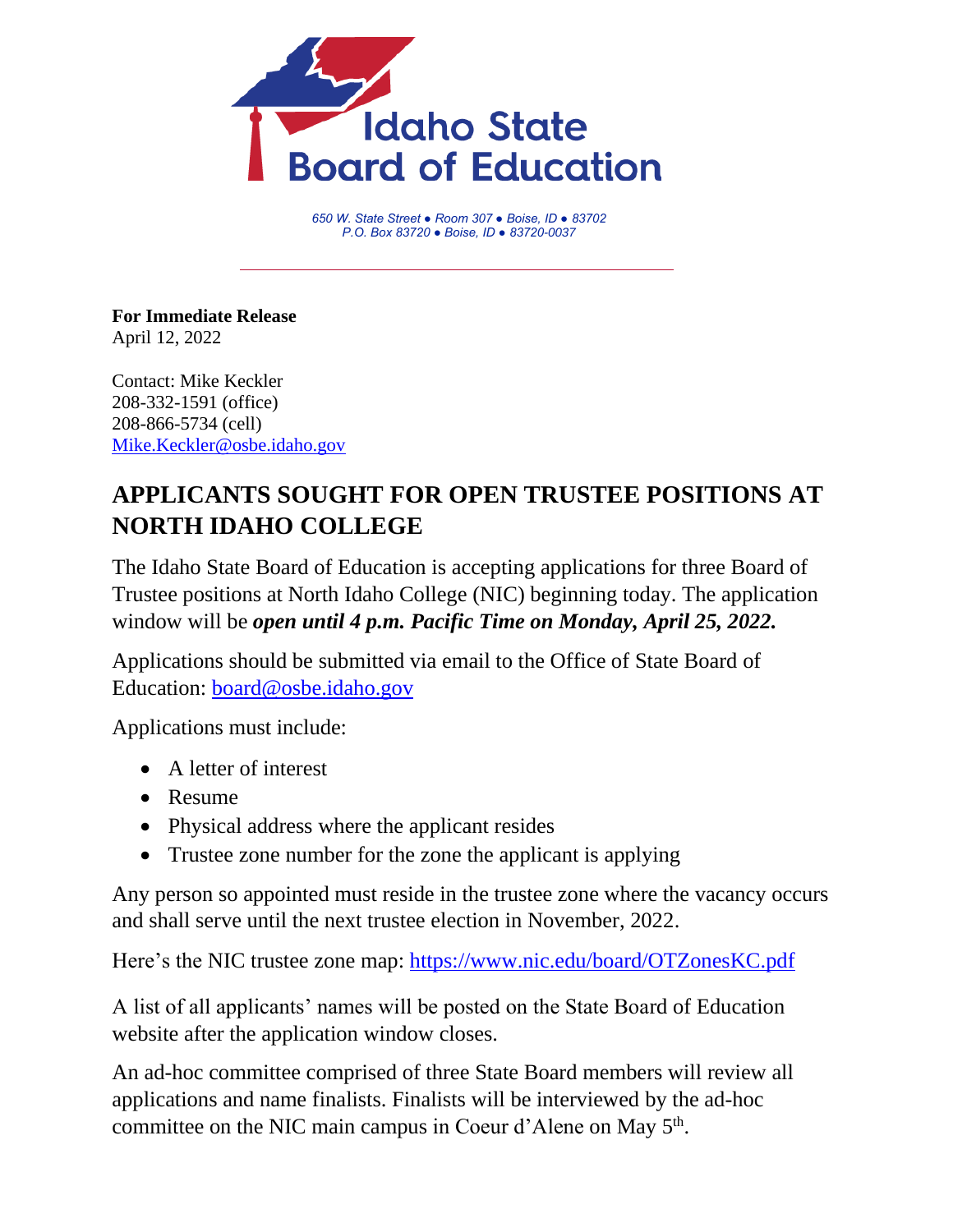

*650 W. State Street ● Room 307 ● Boise, ID ● 83702 P.O. Box 83720 ● Boise, ID ● 83720-0037*

**For Immediate Release** April 12, 2022

Contact: Mike Keckler 208-332-1591 (office) 208-866-5734 (cell) [Mike.Keckler@osbe.idaho.gov](mailto:Mike.Keckler@osbe.idaho.gov)

## **APPLICANTS SOUGHT FOR OPEN TRUSTEE POSITIONS AT NORTH IDAHO COLLEGE**

The Idaho State Board of Education is accepting applications for three Board of Trustee positions at North Idaho College (NIC) beginning today. The application window will be *open until 4 p.m. Pacific Time on Monday, April 25, 2022.* 

Applications should be submitted via email to the Office of State Board of Education: [board@osbe.idaho.gov](mailto:board@osbe.idaho.gov)

Applications must include:

- A letter of interest
- Resume
- Physical address where the applicant resides
- Trustee zone number for the zone the applicant is applying

Any person so appointed must reside in the trustee zone where the vacancy occurs and shall serve until the next trustee election in November, 2022.

Here's the NIC trustee zone map:<https://www.nic.edu/board/OTZonesKC.pdf>

A list of all applicants' names will be posted on the State Board of Education website after the application window closes.

An ad-hoc committee comprised of three State Board members will review all applications and name finalists. Finalists will be interviewed by the ad-hoc committee on the NIC main campus in Coeur d'Alene on May  $5<sup>th</sup>$ .